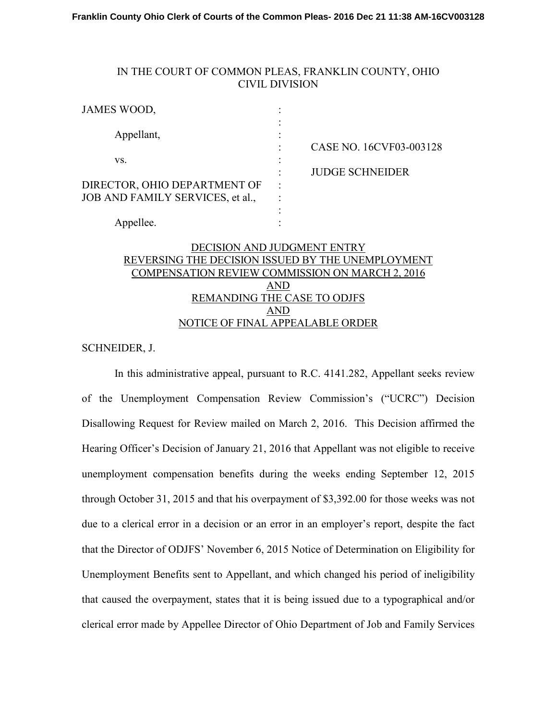## IN THE COURT OF COMMON PLEAS, FRANKLIN COUNTY, OHIO CIVIL DIVISION

| JAMES WOOD,                                                      |                      |                         |
|------------------------------------------------------------------|----------------------|-------------------------|
| Appellant,                                                       |                      | CASE NO. 16CVF03-003128 |
| VS.                                                              |                      | <b>JUDGE SCHNEIDER</b>  |
| DIRECTOR, OHIO DEPARTMENT OF<br>JOB AND FAMILY SERVICES, et al., | $\ddot{\phantom{a}}$ |                         |
| Appellee.                                                        |                      |                         |
|                                                                  |                      |                         |

## DECISION AND JUDGMENT ENTRY REVERSING THE DECISION ISSUED BY THE UNEMPLOYMENT COMPENSATION REVIEW COMMISSION ON MARCH 2, 2016 AND REMANDING THE CASE TO ODJFS AND NOTICE OF FINAL APPEALABLE ORDER

SCHNEIDER, J.

In this administrative appeal, pursuant to R.C. 4141.282, Appellant seeks review of the Unemployment Compensation Review Commission's ("UCRC") Decision Disallowing Request for Review mailed on March 2, 2016. This Decision affirmed the Hearing Officer's Decision of January 21, 2016 that Appellant was not eligible to receive unemployment compensation benefits during the weeks ending September 12, 2015 through October 31, 2015 and that his overpayment of \$3,392.00 for those weeks was not due to a clerical error in a decision or an error in an employer's report, despite the fact that the Director of ODJFS' November 6, 2015 Notice of Determination on Eligibility for Unemployment Benefits sent to Appellant, and which changed his period of ineligibility that caused the overpayment, states that it is being issued due to a typographical and/or clerical error made by Appellee Director of Ohio Department of Job and Family Services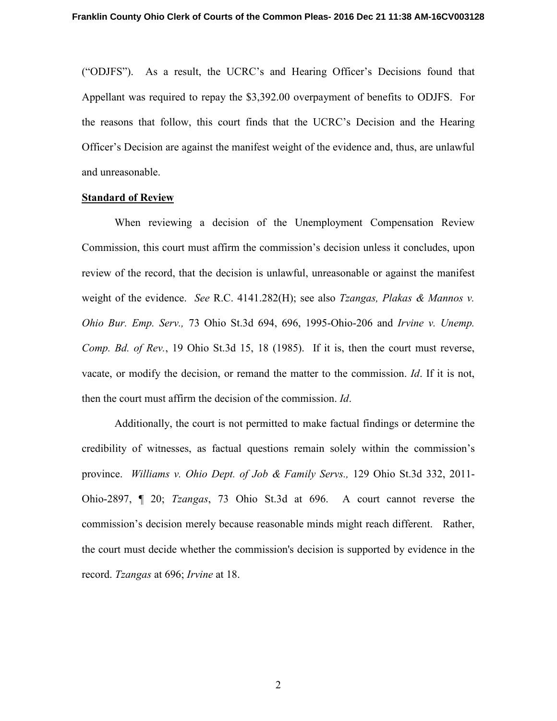("ODJFS"). As a result, the UCRC's and Hearing Officer's Decisions found that Appellant was required to repay the \$3,392.00 overpayment of benefits to ODJFS. For the reasons that follow, this court finds that the UCRC's Decision and the Hearing Officer's Decision are against the manifest weight of the evidence and, thus, are unlawful and unreasonable.

#### **Standard of Review**

 When reviewing a decision of the Unemployment Compensation Review Commission, this court must affirm the commission's decision unless it concludes, upon review of the record, that the decision is unlawful, unreasonable or against the manifest weight of the evidence. *See* R.C. 4141.282(H); see also *Tzangas, Plakas & Mannos v. Ohio Bur. Emp. Serv.,* 73 Ohio St.3d 694, 696, 1995-Ohio-206 and *Irvine v. Unemp. Comp. Bd. of Rev.*, 19 Ohio St.3d 15, 18 (1985). If it is, then the court must reverse, vacate, or modify the decision, or remand the matter to the commission. *Id*. If it is not, then the court must affirm the decision of the commission. *Id*.

Additionally, the court is not permitted to make factual findings or determine the credibility of witnesses, as factual questions remain solely within the commission's province. *Williams v. Ohio Dept. of Job & Family Servs.,* 129 Ohio St.3d 332, 2011- Ohio-2897, ¶ 20; *Tzangas*, 73 Ohio St.3d at 696. A court cannot reverse the commission's decision merely because reasonable minds might reach different. Rather, the court must decide whether the commission's decision is supported by evidence in the record. *Tzangas* at 696; *Irvine* at 18.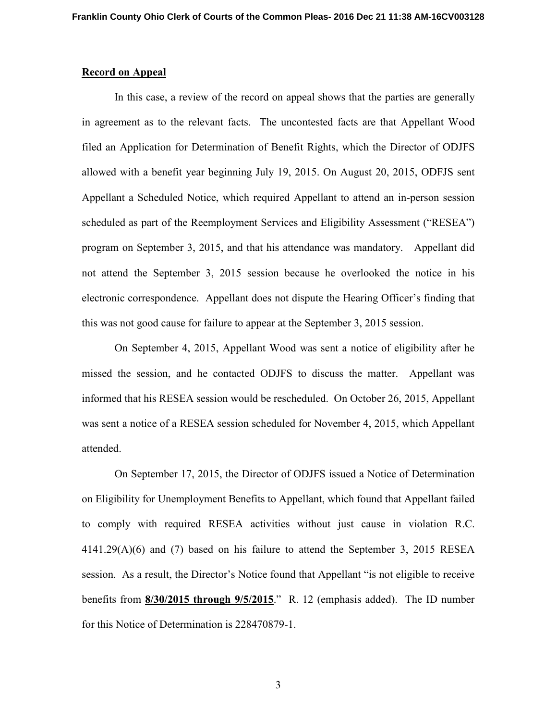### **Record on Appeal**

 In this case, a review of the record on appeal shows that the parties are generally in agreement as to the relevant facts. The uncontested facts are that Appellant Wood filed an Application for Determination of Benefit Rights, which the Director of ODJFS allowed with a benefit year beginning July 19, 2015. On August 20, 2015, ODFJS sent Appellant a Scheduled Notice, which required Appellant to attend an in-person session scheduled as part of the Reemployment Services and Eligibility Assessment ("RESEA") program on September 3, 2015, and that his attendance was mandatory. Appellant did not attend the September 3, 2015 session because he overlooked the notice in his electronic correspondence. Appellant does not dispute the Hearing Officer's finding that this was not good cause for failure to appear at the September 3, 2015 session.

 On September 4, 2015, Appellant Wood was sent a notice of eligibility after he missed the session, and he contacted ODJFS to discuss the matter. Appellant was informed that his RESEA session would be rescheduled. On October 26, 2015, Appellant was sent a notice of a RESEA session scheduled for November 4, 2015, which Appellant attended.

 On September 17, 2015, the Director of ODJFS issued a Notice of Determination on Eligibility for Unemployment Benefits to Appellant, which found that Appellant failed to comply with required RESEA activities without just cause in violation R.C. 4141.29(A)(6) and (7) based on his failure to attend the September 3, 2015 RESEA session. As a result, the Director's Notice found that Appellant "is not eligible to receive benefits from **8/30/2015 through 9/5/2015**." R. 12 (emphasis added). The ID number for this Notice of Determination is 228470879-1.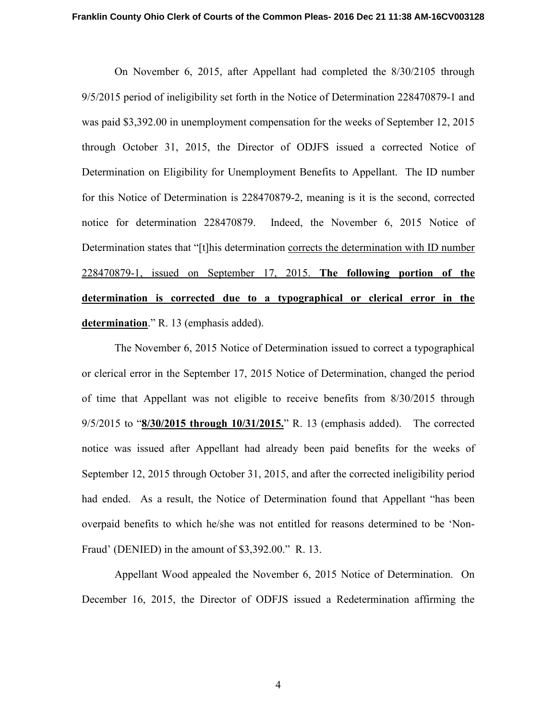On November 6, 2015, after Appellant had completed the 8/30/2105 through 9/5/2015 period of ineligibility set forth in the Notice of Determination 228470879-1 and was paid \$3,392.00 in unemployment compensation for the weeks of September 12, 2015 through October 31, 2015, the Director of ODJFS issued a corrected Notice of Determination on Eligibility for Unemployment Benefits to Appellant. The ID number for this Notice of Determination is 228470879-2, meaning is it is the second, corrected notice for determination 228470879. Indeed, the November 6, 2015 Notice of Determination states that "[t]his determination corrects the determination with ID number 228470879-1, issued on September 17, 2015. **The following portion of the determination is corrected due to a typographical or clerical error in the determination**." R. 13 (emphasis added).

 The November 6, 2015 Notice of Determination issued to correct a typographical or clerical error in the September 17, 2015 Notice of Determination, changed the period of time that Appellant was not eligible to receive benefits from 8/30/2015 through 9/5/2015 to "**8/30/2015 through 10/31/2015.**" R. 13 (emphasis added). The corrected notice was issued after Appellant had already been paid benefits for the weeks of September 12, 2015 through October 31, 2015, and after the corrected ineligibility period had ended. As a result, the Notice of Determination found that Appellant "has been overpaid benefits to which he/she was not entitled for reasons determined to be 'Non-Fraud' (DENIED) in the amount of \$3,392.00." R. 13.

 Appellant Wood appealed the November 6, 2015 Notice of Determination. On December 16, 2015, the Director of ODFJS issued a Redetermination affirming the

4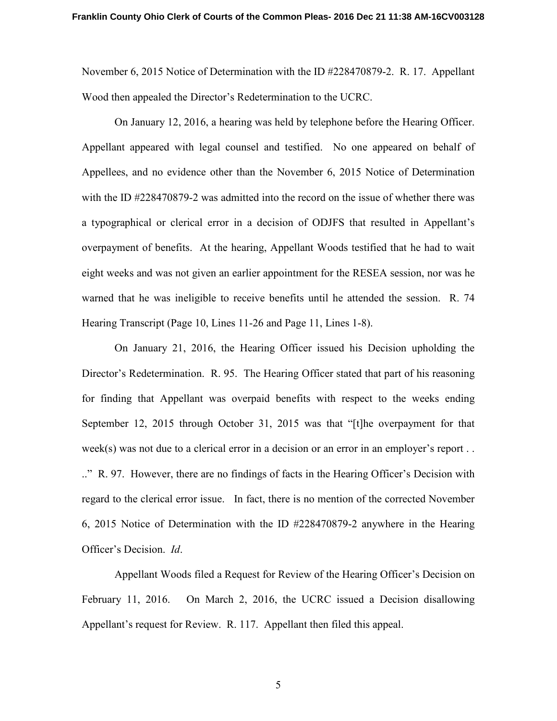November 6, 2015 Notice of Determination with the ID #228470879-2. R. 17. Appellant Wood then appealed the Director's Redetermination to the UCRC.

 On January 12, 2016, a hearing was held by telephone before the Hearing Officer. Appellant appeared with legal counsel and testified. No one appeared on behalf of Appellees, and no evidence other than the November 6, 2015 Notice of Determination with the ID #228470879-2 was admitted into the record on the issue of whether there was a typographical or clerical error in a decision of ODJFS that resulted in Appellant's overpayment of benefits. At the hearing, Appellant Woods testified that he had to wait eight weeks and was not given an earlier appointment for the RESEA session, nor was he warned that he was ineligible to receive benefits until he attended the session. R. 74 Hearing Transcript (Page 10, Lines 11-26 and Page 11, Lines 1-8).

 On January 21, 2016, the Hearing Officer issued his Decision upholding the Director's Redetermination. R. 95. The Hearing Officer stated that part of his reasoning for finding that Appellant was overpaid benefits with respect to the weeks ending September 12, 2015 through October 31, 2015 was that "[t]he overpayment for that week(s) was not due to a clerical error in a decision or an error in an employer's report . . .." R. 97. However, there are no findings of facts in the Hearing Officer's Decision with regard to the clerical error issue. In fact, there is no mention of the corrected November 6, 2015 Notice of Determination with the ID #228470879-2 anywhere in the Hearing Officer's Decision. *Id*.

 Appellant Woods filed a Request for Review of the Hearing Officer's Decision on February 11, 2016. On March 2, 2016, the UCRC issued a Decision disallowing Appellant's request for Review. R. 117. Appellant then filed this appeal.

5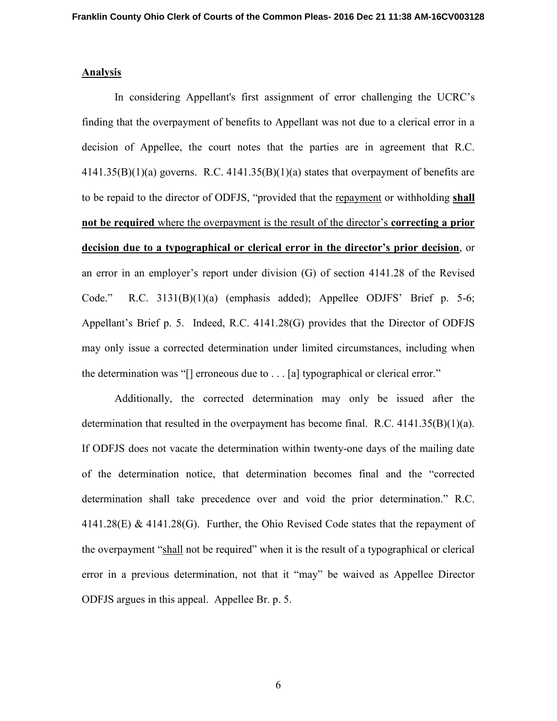#### **Analysis**

 In considering Appellant's first assignment of error challenging the UCRC's finding that the overpayment of benefits to Appellant was not due to a clerical error in a decision of Appellee, the court notes that the parties are in agreement that R.C.  $4141.35(B)(1)(a)$  governs. R.C.  $4141.35(B)(1)(a)$  states that overpayment of benefits are to be repaid to the director of ODFJS, "provided that the repayment or withholding **shall not be required** where the overpayment is the result of the director's **correcting a prior decision due to a typographical or clerical error in the director's prior decision**, or an error in an employer's report under division (G) of section 4141.28 of the Revised Code." R.C. 3131(B)(1)(a) (emphasis added); Appellee ODJFS' Brief p. 5-6; Appellant's Brief p. 5. Indeed, R.C. 4141.28(G) provides that the Director of ODFJS may only issue a corrected determination under limited circumstances, including when the determination was "[] erroneous due to . . . [a] typographical or clerical error."

 Additionally, the corrected determination may only be issued after the determination that resulted in the overpayment has become final. R.C. 4141.35(B)(1)(a). If ODFJS does not vacate the determination within twenty-one days of the mailing date of the determination notice, that determination becomes final and the "corrected determination shall take precedence over and void the prior determination." R.C. 4141.28(E) & 4141.28(G). Further, the Ohio Revised Code states that the repayment of the overpayment "shall not be required" when it is the result of a typographical or clerical error in a previous determination, not that it "may" be waived as Appellee Director ODFJS argues in this appeal. Appellee Br. p. 5.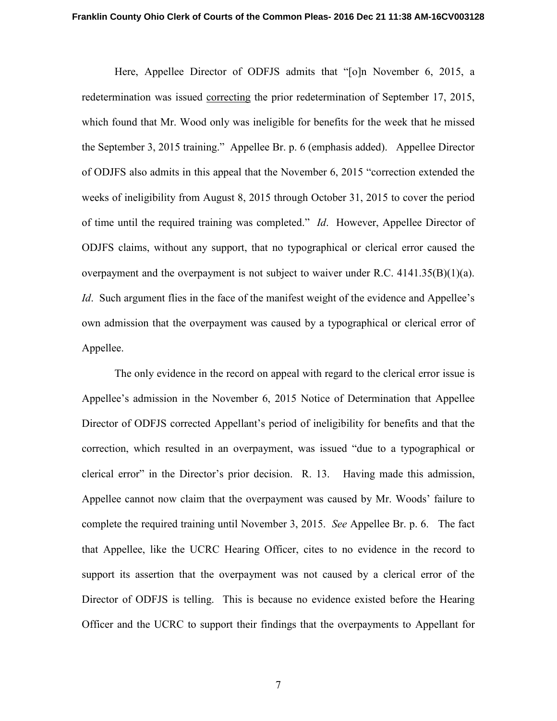Here, Appellee Director of ODFJS admits that "[o]n November 6, 2015, a redetermination was issued correcting the prior redetermination of September 17, 2015, which found that Mr. Wood only was ineligible for benefits for the week that he missed the September 3, 2015 training." Appellee Br. p. 6 (emphasis added). Appellee Director of ODJFS also admits in this appeal that the November 6, 2015 "correction extended the weeks of ineligibility from August 8, 2015 through October 31, 2015 to cover the period of time until the required training was completed." *Id*. However, Appellee Director of ODJFS claims, without any support, that no typographical or clerical error caused the overpayment and the overpayment is not subject to waiver under R.C. 4141.35(B)(1)(a). *Id.* Such argument flies in the face of the manifest weight of the evidence and Appellee's own admission that the overpayment was caused by a typographical or clerical error of Appellee.

 The only evidence in the record on appeal with regard to the clerical error issue is Appellee's admission in the November 6, 2015 Notice of Determination that Appellee Director of ODFJS corrected Appellant's period of ineligibility for benefits and that the correction, which resulted in an overpayment, was issued "due to a typographical or clerical error" in the Director's prior decision. R. 13. Having made this admission, Appellee cannot now claim that the overpayment was caused by Mr. Woods' failure to complete the required training until November 3, 2015. *See* Appellee Br. p. 6. The fact that Appellee, like the UCRC Hearing Officer, cites to no evidence in the record to support its assertion that the overpayment was not caused by a clerical error of the Director of ODFJS is telling. This is because no evidence existed before the Hearing Officer and the UCRC to support their findings that the overpayments to Appellant for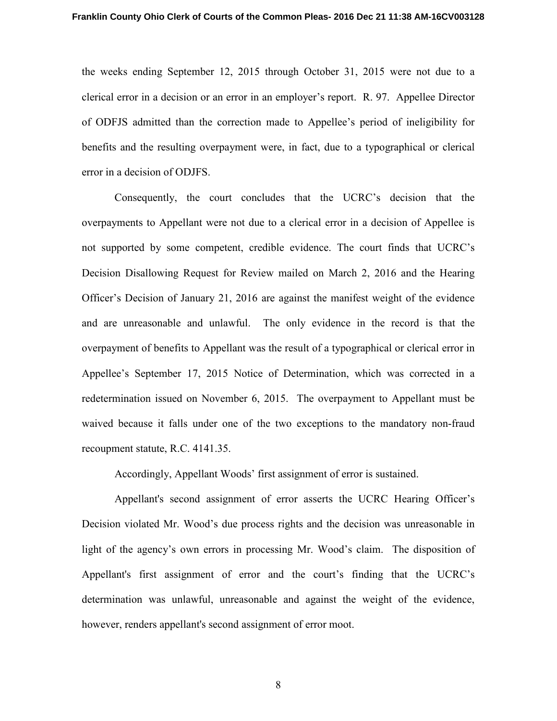the weeks ending September 12, 2015 through October 31, 2015 were not due to a clerical error in a decision or an error in an employer's report. R. 97. Appellee Director of ODFJS admitted than the correction made to Appellee's period of ineligibility for benefits and the resulting overpayment were, in fact, due to a typographical or clerical error in a decision of ODJFS.

Consequently, the court concludes that the UCRC's decision that the overpayments to Appellant were not due to a clerical error in a decision of Appellee is not supported by some competent, credible evidence. The court finds that UCRC's Decision Disallowing Request for Review mailed on March 2, 2016 and the Hearing Officer's Decision of January 21, 2016 are against the manifest weight of the evidence and are unreasonable and unlawful. The only evidence in the record is that the overpayment of benefits to Appellant was the result of a typographical or clerical error in Appellee's September 17, 2015 Notice of Determination, which was corrected in a redetermination issued on November 6, 2015. The overpayment to Appellant must be waived because it falls under one of the two exceptions to the mandatory non-fraud recoupment statute, R.C. 4141.35.

Accordingly, Appellant Woods' first assignment of error is sustained.

 Appellant's second assignment of error asserts the UCRC Hearing Officer's Decision violated Mr. Wood's due process rights and the decision was unreasonable in light of the agency's own errors in processing Mr. Wood's claim. The disposition of Appellant's first assignment of error and the court's finding that the UCRC's determination was unlawful, unreasonable and against the weight of the evidence, however, renders appellant's second assignment of error moot.

8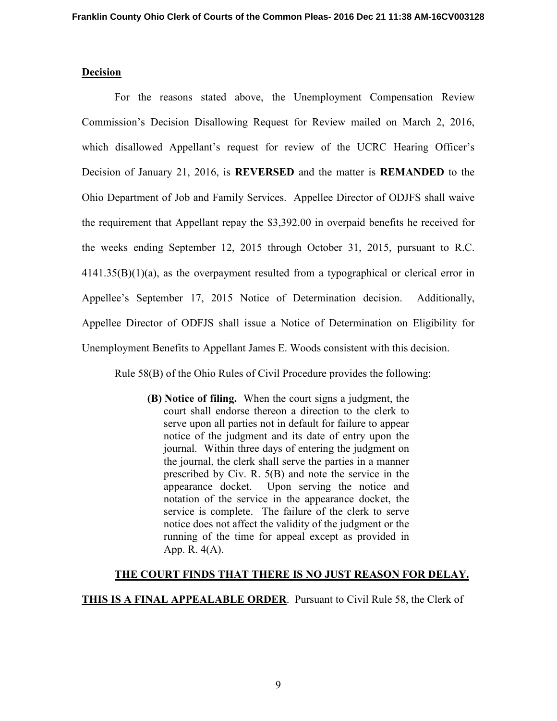### **Decision**

For the reasons stated above, the Unemployment Compensation Review Commission's Decision Disallowing Request for Review mailed on March 2, 2016, which disallowed Appellant's request for review of the UCRC Hearing Officer's Decision of January 21, 2016, is **REVERSED** and the matter is **REMANDED** to the Ohio Department of Job and Family Services. Appellee Director of ODJFS shall waive the requirement that Appellant repay the \$3,392.00 in overpaid benefits he received for the weeks ending September 12, 2015 through October 31, 2015, pursuant to R.C.  $4141.35(B)(1)(a)$ , as the overpayment resulted from a typographical or clerical error in Appellee's September 17, 2015 Notice of Determination decision. Additionally, Appellee Director of ODFJS shall issue a Notice of Determination on Eligibility for Unemployment Benefits to Appellant James E. Woods consistent with this decision.

Rule 58(B) of the Ohio Rules of Civil Procedure provides the following:

**(B) Notice of filing.** When the court signs a judgment, the court shall endorse thereon a direction to the clerk to serve upon all parties not in default for failure to appear notice of the judgment and its date of entry upon the journal. Within three days of entering the judgment on the journal, the clerk shall serve the parties in a manner prescribed by Civ. R. 5(B) and note the service in the appearance docket. Upon serving the notice and notation of the service in the appearance docket, the service is complete. The failure of the clerk to serve notice does not affect the validity of the judgment or the running of the time for appeal except as provided in App. R. 4(A).

#### **THE COURT FINDS THAT THERE IS NO JUST REASON FOR DELAY.**

**THIS IS A FINAL APPEALABLE ORDER**. Pursuant to Civil Rule 58, the Clerk of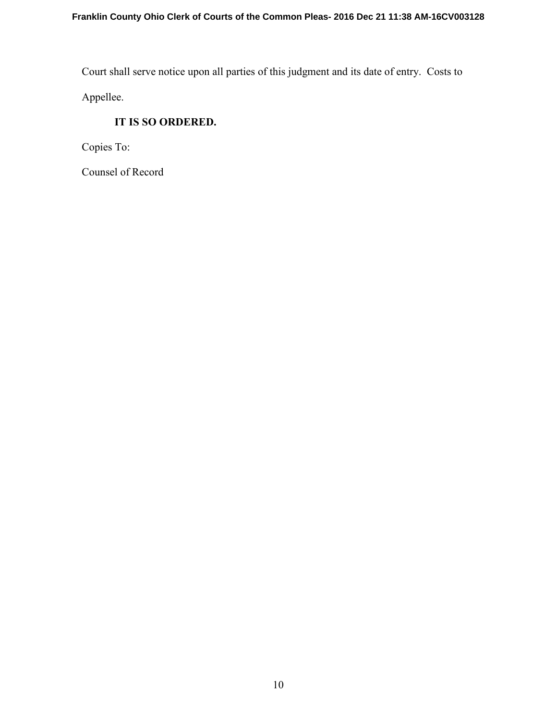Court shall serve notice upon all parties of this judgment and its date of entry. Costs to Appellee.

**IT IS SO ORDERED.** 

Copies To:

Counsel of Record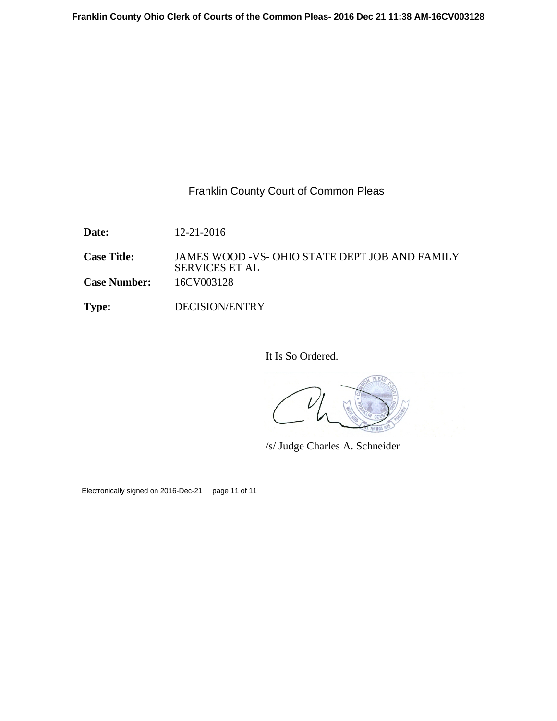## Franklin County Court of Common Pleas

**Date:** 12-21-2016

**Case Title:** JAMES WOOD -VS- OHIO STATE DEPT JOB AND FAMILY SERVICES ET AL **Case Number:** 16CV003128

**Type:** DECISION/ENTRY

It Is So Ordered.

/s/ Judge Charles A. Schneider

Electronically signed on 2016-Dec-21 page 11 of 11